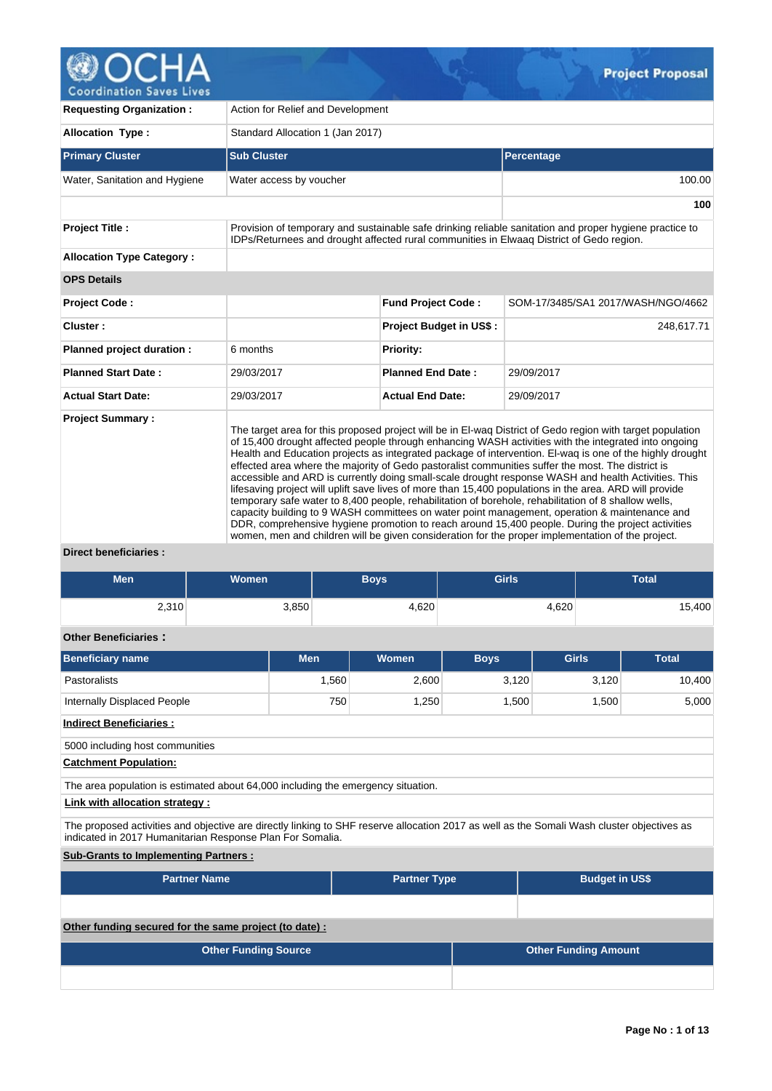

| <b>Requesting Organization:</b>  | Action for Relief and Development                                                                                                                                                                                                                                                                                                                                                                                                                                                                                                                                                                                                                                                                                                                                                                                                                                                                                                                                                                                                                                        |                                |                                    |  |  |  |  |  |  |
|----------------------------------|--------------------------------------------------------------------------------------------------------------------------------------------------------------------------------------------------------------------------------------------------------------------------------------------------------------------------------------------------------------------------------------------------------------------------------------------------------------------------------------------------------------------------------------------------------------------------------------------------------------------------------------------------------------------------------------------------------------------------------------------------------------------------------------------------------------------------------------------------------------------------------------------------------------------------------------------------------------------------------------------------------------------------------------------------------------------------|--------------------------------|------------------------------------|--|--|--|--|--|--|
| <b>Allocation Type:</b>          | Standard Allocation 1 (Jan 2017)                                                                                                                                                                                                                                                                                                                                                                                                                                                                                                                                                                                                                                                                                                                                                                                                                                                                                                                                                                                                                                         |                                |                                    |  |  |  |  |  |  |
| <b>Primary Cluster</b>           | <b>Sub Cluster</b>                                                                                                                                                                                                                                                                                                                                                                                                                                                                                                                                                                                                                                                                                                                                                                                                                                                                                                                                                                                                                                                       |                                | Percentage                         |  |  |  |  |  |  |
| Water, Sanitation and Hygiene    | Water access by voucher                                                                                                                                                                                                                                                                                                                                                                                                                                                                                                                                                                                                                                                                                                                                                                                                                                                                                                                                                                                                                                                  |                                | 100.00                             |  |  |  |  |  |  |
|                                  |                                                                                                                                                                                                                                                                                                                                                                                                                                                                                                                                                                                                                                                                                                                                                                                                                                                                                                                                                                                                                                                                          |                                | 100                                |  |  |  |  |  |  |
| <b>Project Title:</b>            | Provision of temporary and sustainable safe drinking reliable sanitation and proper hygiene practice to<br>IDPs/Returnees and drought affected rural communities in Elwaag District of Gedo region.                                                                                                                                                                                                                                                                                                                                                                                                                                                                                                                                                                                                                                                                                                                                                                                                                                                                      |                                |                                    |  |  |  |  |  |  |
| <b>Allocation Type Category:</b> |                                                                                                                                                                                                                                                                                                                                                                                                                                                                                                                                                                                                                                                                                                                                                                                                                                                                                                                                                                                                                                                                          |                                |                                    |  |  |  |  |  |  |
| <b>OPS Details</b>               |                                                                                                                                                                                                                                                                                                                                                                                                                                                                                                                                                                                                                                                                                                                                                                                                                                                                                                                                                                                                                                                                          |                                |                                    |  |  |  |  |  |  |
| <b>Project Code:</b>             |                                                                                                                                                                                                                                                                                                                                                                                                                                                                                                                                                                                                                                                                                                                                                                                                                                                                                                                                                                                                                                                                          | <b>Fund Project Code:</b>      | SOM-17/3485/SA1 2017/WASH/NGO/4662 |  |  |  |  |  |  |
| Cluster:                         |                                                                                                                                                                                                                                                                                                                                                                                                                                                                                                                                                                                                                                                                                                                                                                                                                                                                                                                                                                                                                                                                          | <b>Project Budget in US\$:</b> | 248,617.71                         |  |  |  |  |  |  |
| Planned project duration :       | 6 months                                                                                                                                                                                                                                                                                                                                                                                                                                                                                                                                                                                                                                                                                                                                                                                                                                                                                                                                                                                                                                                                 | <b>Priority:</b>               |                                    |  |  |  |  |  |  |
| <b>Planned Start Date:</b>       | 29/03/2017                                                                                                                                                                                                                                                                                                                                                                                                                                                                                                                                                                                                                                                                                                                                                                                                                                                                                                                                                                                                                                                               | <b>Planned End Date:</b>       | 29/09/2017                         |  |  |  |  |  |  |
| <b>Actual Start Date:</b>        | 29/03/2017                                                                                                                                                                                                                                                                                                                                                                                                                                                                                                                                                                                                                                                                                                                                                                                                                                                                                                                                                                                                                                                               | <b>Actual End Date:</b>        | 29/09/2017                         |  |  |  |  |  |  |
| <b>Project Summary:</b>          | The target area for this proposed project will be in El-wag District of Gedo region with target population<br>of 15,400 drought affected people through enhancing WASH activities with the integrated into ongoing<br>Health and Education projects as integrated package of intervention. El-wag is one of the highly drought<br>effected area where the majority of Gedo pastoralist communities suffer the most. The district is<br>accessible and ARD is currently doing small-scale drought response WASH and health Activities. This<br>lifesaving project will uplift save lives of more than 15,400 populations in the area. ARD will provide<br>temporary safe water to 8,400 people, rehabilitation of borehole, rehabilitation of 8 shallow wells,<br>capacity building to 9 WASH committees on water point management, operation & maintenance and<br>DDR, comprehensive hygiene promotion to reach around 15,400 people. During the project activities<br>women, men and children will be given consideration for the proper implementation of the project. |                                |                                    |  |  |  |  |  |  |

# **Direct beneficiaries :**

| <b>Men</b>                                                                                                                                                                                              | <b>Women</b>        |            | <b>Boys</b>         | <b>Girls</b> |                       | <b>Total</b> |  |  |  |  |
|---------------------------------------------------------------------------------------------------------------------------------------------------------------------------------------------------------|---------------------|------------|---------------------|--------------|-----------------------|--------------|--|--|--|--|
| 2,310                                                                                                                                                                                                   |                     | 3,850      | 4,620               |              | 4,620                 | 15,400       |  |  |  |  |
| <b>Other Beneficiaries:</b>                                                                                                                                                                             |                     |            |                     |              |                       |              |  |  |  |  |
| <b>Beneficiary name</b>                                                                                                                                                                                 |                     | <b>Men</b> | Women               | <b>Boys</b>  | <b>Girls</b>          | <b>Total</b> |  |  |  |  |
| Pastoralists                                                                                                                                                                                            |                     | 1,560      | 2,600               | 3,120        | 3,120                 | 10,400       |  |  |  |  |
| Internally Displaced People                                                                                                                                                                             |                     | 750        | 1,250               | 1,500        | 1,500                 | 5,000        |  |  |  |  |
| <b>Indirect Beneficiaries:</b>                                                                                                                                                                          |                     |            |                     |              |                       |              |  |  |  |  |
| 5000 including host communities                                                                                                                                                                         |                     |            |                     |              |                       |              |  |  |  |  |
| <b>Catchment Population:</b>                                                                                                                                                                            |                     |            |                     |              |                       |              |  |  |  |  |
| The area population is estimated about 64,000 including the emergency situation.                                                                                                                        |                     |            |                     |              |                       |              |  |  |  |  |
| Link with allocation strategy :                                                                                                                                                                         |                     |            |                     |              |                       |              |  |  |  |  |
| The proposed activities and objective are directly linking to SHF reserve allocation 2017 as well as the Somali Wash cluster objectives as<br>indicated in 2017 Humanitarian Response Plan For Somalia. |                     |            |                     |              |                       |              |  |  |  |  |
| <b>Sub-Grants to Implementing Partners:</b>                                                                                                                                                             |                     |            |                     |              |                       |              |  |  |  |  |
|                                                                                                                                                                                                         | <b>Partner Name</b> |            | <b>Partner Type</b> |              | <b>Budget in US\$</b> |              |  |  |  |  |
|                                                                                                                                                                                                         |                     |            |                     |              |                       |              |  |  |  |  |
| Other funding secured for the same project (to date) :                                                                                                                                                  |                     |            |                     |              |                       |              |  |  |  |  |
| <b>Other Funding Amount</b><br><b>Other Funding Source</b>                                                                                                                                              |                     |            |                     |              |                       |              |  |  |  |  |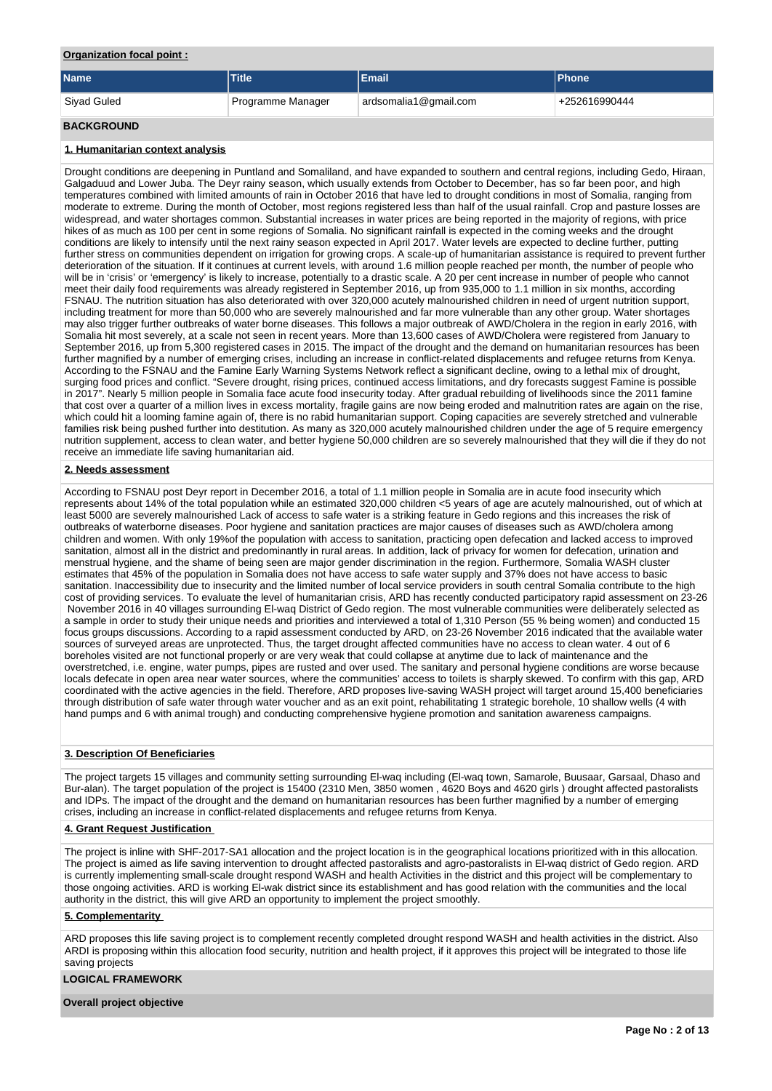## **Organization focal point :**

| Name              | <b>Title</b>      | <b>Email</b>          | <b>Phone</b>  |
|-------------------|-------------------|-----------------------|---------------|
| Siyad Guled       | Programme Manager | ardsomalia1@gmail.com | +252616990444 |
| <b>BACKGROUND</b> |                   |                       |               |

## **1. Humanitarian context analysis**

Drought conditions are deepening in Puntland and Somaliland, and have expanded to southern and central regions, including Gedo, Hiraan, Galgaduud and Lower Juba. The Deyr rainy season, which usually extends from October to December, has so far been poor, and high temperatures combined with limited amounts of rain in October 2016 that have led to drought conditions in most of Somalia, ranging from moderate to extreme. During the month of October, most regions registered less than half of the usual rainfall. Crop and pasture losses are widespread, and water shortages common. Substantial increases in water prices are being reported in the majority of regions, with price hikes of as much as 100 per cent in some regions of Somalia. No significant rainfall is expected in the coming weeks and the drought conditions are likely to intensify until the next rainy season expected in April 2017. Water levels are expected to decline further, putting further stress on communities dependent on irrigation for growing crops. A scale-up of humanitarian assistance is required to prevent further deterioration of the situation. If it continues at current levels, with around 1.6 million people reached per month, the number of people who will be in 'crisis' or 'emergency' is likely to increase, potentially to a drastic scale. A 20 per cent increase in number of people who cannot meet their daily food requirements was already registered in September 2016, up from 935,000 to 1.1 million in six months, according FSNAU. The nutrition situation has also deteriorated with over 320,000 acutely malnourished children in need of urgent nutrition support, including treatment for more than 50,000 who are severely malnourished and far more vulnerable than any other group. Water shortages may also trigger further outbreaks of water borne diseases. This follows a major outbreak of AWD/Cholera in the region in early 2016, with Somalia hit most severely, at a scale not seen in recent years. More than 13,600 cases of AWD/Cholera were registered from January to September 2016, up from 5,300 registered cases in 2015. The impact of the drought and the demand on humanitarian resources has been further magnified by a number of emerging crises, including an increase in conflict-related displacements and refugee returns from Kenya. According to the FSNAU and the Famine Early Warning Systems Network reflect a significant decline, owing to a lethal mix of drought, surging food prices and conflict. "Severe drought, rising prices, continued access limitations, and dry forecasts suggest Famine is possible in 2017". Nearly 5 million people in Somalia face acute food insecurity today. After gradual rebuilding of livelihoods since the 2011 famine that cost over a quarter of a million lives in excess mortality, fragile gains are now being eroded and malnutrition rates are again on the rise, which could hit a looming famine again of, there is no rabid humanitarian support. Coping capacities are severely stretched and vulnerable families risk being pushed further into destitution. As many as 320,000 acutely malnourished children under the age of 5 require emergency nutrition supplement, access to clean water, and better hygiene 50,000 children are so severely malnourished that they will die if they do not receive an immediate life saving humanitarian aid.

## **2. Needs assessment**

According to FSNAU post Deyr report in December 2016, a total of 1.1 million people in Somalia are in acute food insecurity which represents about 14% of the total population while an estimated 320,000 children <5 years of age are acutely malnourished, out of which at least 5000 are severely malnourished Lack of access to safe water is a striking feature in Gedo regions and this increases the risk of outbreaks of waterborne diseases. Poor hygiene and sanitation practices are major causes of diseases such as AWD/cholera among children and women. With only 19%of the population with access to sanitation, practicing open defecation and lacked access to improved sanitation, almost all in the district and predominantly in rural areas. In addition, lack of privacy for women for defecation, urination and menstrual hygiene, and the shame of being seen are major gender discrimination in the region. Furthermore, Somalia WASH cluster estimates that 45% of the population in Somalia does not have access to safe water supply and 37% does not have access to basic sanitation. Inaccessibility due to insecurity and the limited number of local service providers in south central Somalia contribute to the high cost of providing services. To evaluate the level of humanitarian crisis, ARD has recently conducted participatory rapid assessment on 23-26 November 2016 in 40 villages surrounding El-waq District of Gedo region. The most vulnerable communities were deliberately selected as a sample in order to study their unique needs and priorities and interviewed a total of 1,310 Person (55 % being women) and conducted 15 focus groups discussions. According to a rapid assessment conducted by ARD, on 23-26 November 2016 indicated that the available water sources of surveyed areas are unprotected. Thus, the target drought affected communities have no access to clean water. 4 out of 6 boreholes visited are not functional properly or are very weak that could collapse at anytime due to lack of maintenance and the overstretched, i.e. engine, water pumps, pipes are rusted and over used. The sanitary and personal hygiene conditions are worse because locals defecate in open area near water sources, where the communities' access to toilets is sharply skewed. To confirm with this gap, ARD coordinated with the active agencies in the field. Therefore, ARD proposes live-saving WASH project will target around 15,400 beneficiaries through distribution of safe water through water voucher and as an exit point, rehabilitating 1 strategic borehole, 10 shallow wells (4 with hand pumps and 6 with animal trough) and conducting comprehensive hygiene promotion and sanitation awareness campaigns.

## **3. Description Of Beneficiaries**

The project targets 15 villages and community setting surrounding El-waq including (El-waq town, Samarole, Buusaar, Garsaal, Dhaso and Bur-alan). The target population of the project is 15400 (2310 Men, 3850 women , 4620 Boys and 4620 girls ) drought affected pastoralists and IDPs. The impact of the drought and the demand on humanitarian resources has been further magnified by a number of emerging crises, including an increase in conflict-related displacements and refugee returns from Kenya.

## **4. Grant Request Justification**

The project is inline with SHF-2017-SA1 allocation and the project location is in the geographical locations prioritized with in this allocation. The project is aimed as life saving intervention to drought affected pastoralists and agro-pastoralists in El-waq district of Gedo region. ARD is currently implementing small-scale drought respond WASH and health Activities in the district and this project will be complementary to those ongoing activities. ARD is working El-wak district since its establishment and has good relation with the communities and the local authority in the district, this will give ARD an opportunity to implement the project smoothly.

## **5. Complementarity**

ARD proposes this life saving project is to complement recently completed drought respond WASH and health activities in the district. Also ARDI is proposing within this allocation food security, nutrition and health project, if it approves this project will be integrated to those life saving projects

## **LOGICAL FRAMEWORK**

**Overall project objective**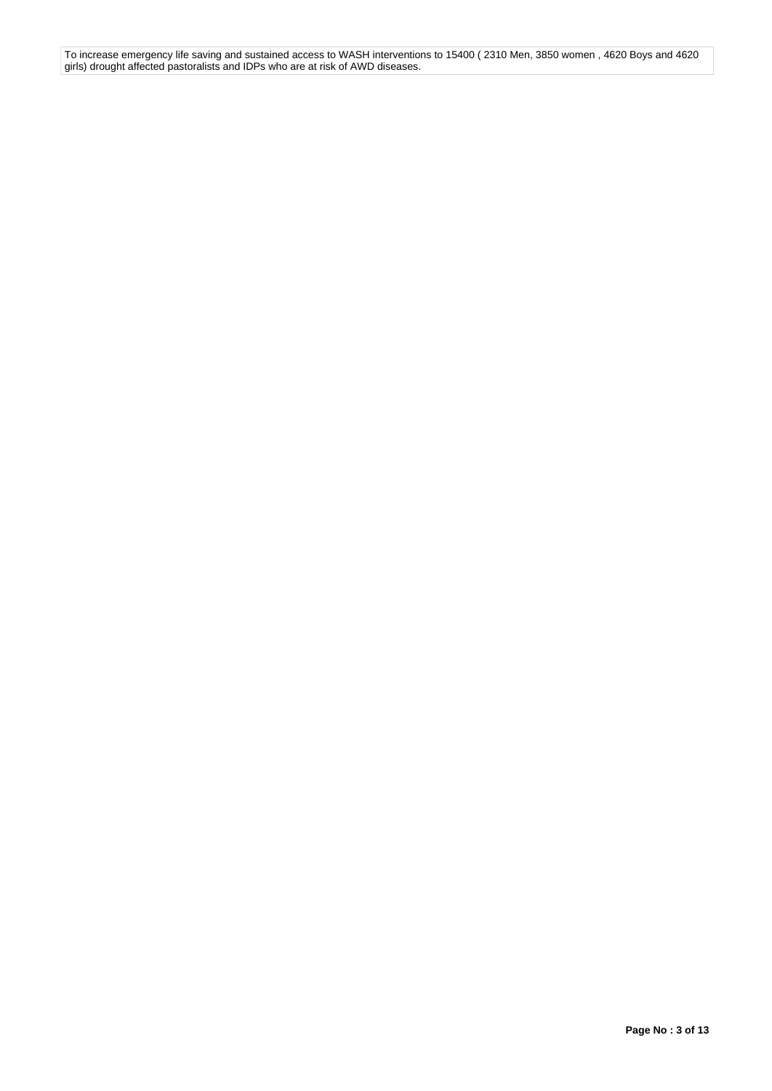To increase emergency life saving and sustained access to WASH interventions to 15400 ( 2310 Men, 3850 women , 4620 Boys and 4620 girls) drought affected pastoralists and IDPs who are at risk of AWD diseases.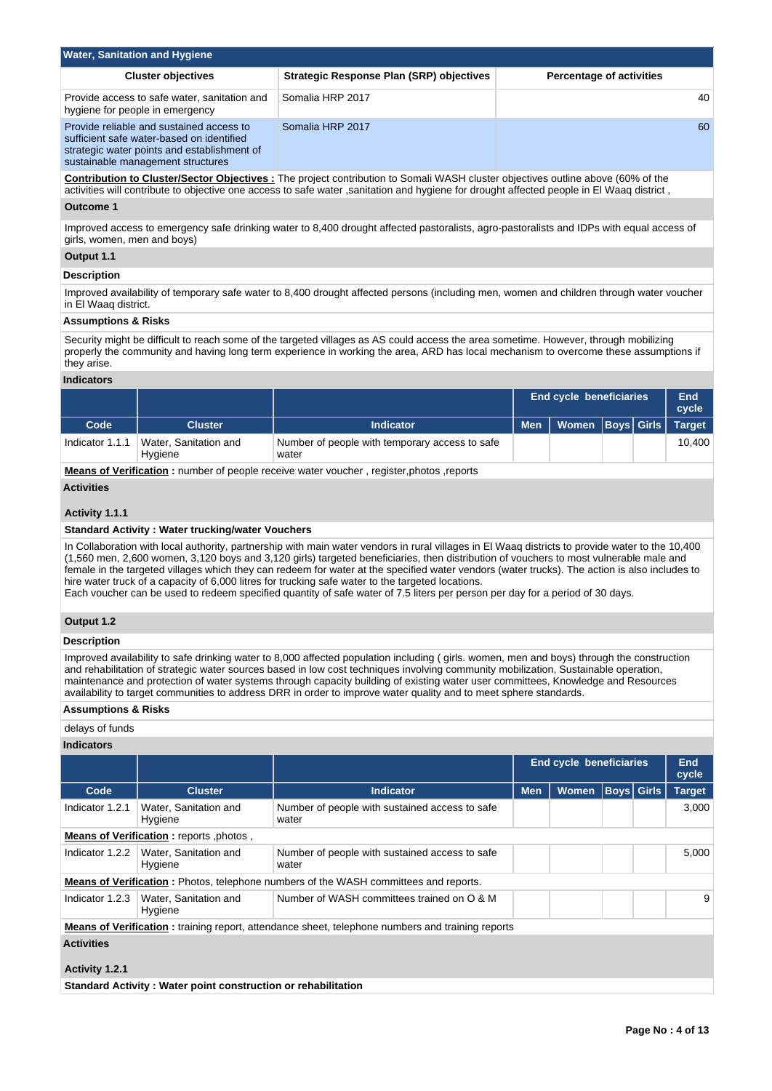| <b>Water, Sanitation and Hygiene</b>                                                                                                                                      |                                                 |                                 |  |  |  |  |  |  |  |
|---------------------------------------------------------------------------------------------------------------------------------------------------------------------------|-------------------------------------------------|---------------------------------|--|--|--|--|--|--|--|
| <b>Cluster objectives</b>                                                                                                                                                 | <b>Strategic Response Plan (SRP) objectives</b> | <b>Percentage of activities</b> |  |  |  |  |  |  |  |
| Provide access to safe water, sanitation and<br>hygiene for people in emergency                                                                                           | Somalia HRP 2017                                | 40                              |  |  |  |  |  |  |  |
| Provide reliable and sustained access to<br>sufficient safe water-based on identified<br>strategic water points and establishment of<br>sustainable management structures | Somalia HRP 2017                                | 60                              |  |  |  |  |  |  |  |

**Contribution to Cluster/Sector Objectives :** The project contribution to Somali WASH cluster objectives outline above (60% of the activities will contribute to objective one access to safe water ,sanitation and hygiene for drought affected people in El Waaq district ,

# **Outcome 1**

Improved access to emergency safe drinking water to 8,400 drought affected pastoralists, agro-pastoralists and IDPs with equal access of girls, women, men and boys)

## **Output 1.1**

# **Description**

Improved availability of temporary safe water to 8,400 drought affected persons (including men, women and children through water voucher in El Waaq district.

# **Assumptions & Risks**

Security might be difficult to reach some of the targeted villages as AS could access the area sometime. However, through mobilizing properly the community and having long term experience in working the area, ARD has local mechanism to overcome these assumptions if they arise.

## **Indicators**

|                 |                                  |                                                                                        |            | End cycle beneficiaries       |  | End<br>cycle |
|-----------------|----------------------------------|----------------------------------------------------------------------------------------|------------|-------------------------------|--|--------------|
| Code            | <b>Cluster</b>                   | <b>Indicator</b>                                                                       | <b>Men</b> | Women   Boys   Girls   Target |  |              |
| Indicator 1.1.1 | Water, Sanitation and<br>Hygiene | Number of people with temporary access to safe<br>water                                |            |                               |  | 10.400       |
|                 |                                  | Means of Verification : number of people receive water voucher register photos reports |            |                               |  |              |

**Means of Verification :** number of people receive water voucher , register,photos ,reports

# **Activities**

# **Activity 1.1.1**

## **Standard Activity : Water trucking/water Vouchers**

In Collaboration with local authority, partnership with main water vendors in rural villages in El Waaq districts to provide water to the 10,400 (1,560 men, 2,600 women, 3,120 boys and 3,120 girls) targeted beneficiaries, then distribution of vouchers to most vulnerable male and female in the targeted villages which they can redeem for water at the specified water vendors (water trucks). The action is also includes to hire water truck of a capacity of 6,000 litres for trucking safe water to the targeted locations.

Each voucher can be used to redeem specified quantity of safe water of 7.5 liters per person per day for a period of 30 days.

# **Output 1.2**

## **Description**

Improved availability to safe drinking water to 8,000 affected population including ( girls. women, men and boys) through the construction and rehabilitation of strategic water sources based in low cost techniques involving community mobilization, Sustainable operation, maintenance and protection of water systems through capacity building of existing water user committees, Knowledge and Resources availability to target communities to address DRR in order to improve water quality and to meet sphere standards.

## **Assumptions & Risks**

## delays of funds

## **Indicators**

|                   |                                         |                                                                                                         | <b>End cycle beneficiaries</b> |              |                   |       | <b>End</b><br>cycle |  |  |  |
|-------------------|-----------------------------------------|---------------------------------------------------------------------------------------------------------|--------------------------------|--------------|-------------------|-------|---------------------|--|--|--|
| Code              | <b>Cluster</b>                          | <b>Indicator</b>                                                                                        | <b>Men</b>                     | <b>Women</b> | <b>Boys</b> Girls |       | <b>Target</b>       |  |  |  |
| Indicator 1.2.1   | Water, Sanitation and<br>Hygiene        | Number of people with sustained access to safe<br>water                                                 |                                |              |                   |       | 3,000               |  |  |  |
|                   | Means of Verification: reports, photos, |                                                                                                         |                                |              |                   |       |                     |  |  |  |
| Indicator 1.2.2   | Water, Sanitation and<br>Hygiene        | Number of people with sustained access to safe<br>water                                                 |                                |              |                   | 5,000 |                     |  |  |  |
|                   |                                         | <b>Means of Verification:</b> Photos, telephone numbers of the WASH committees and reports.             |                                |              |                   |       |                     |  |  |  |
| Indicator 1.2.3   | Water, Sanitation and<br>Hygiene        | Number of WASH committees trained on O & M                                                              |                                |              |                   |       | 9                   |  |  |  |
|                   |                                         | <b>Means of Verification:</b> training report, attendance sheet, telephone numbers and training reports |                                |              |                   |       |                     |  |  |  |
| <b>Activities</b> |                                         |                                                                                                         |                                |              |                   |       |                     |  |  |  |
| Activity 1.2.1    |                                         |                                                                                                         |                                |              |                   |       |                     |  |  |  |

**Standard Activity : Water point construction or rehabilitation**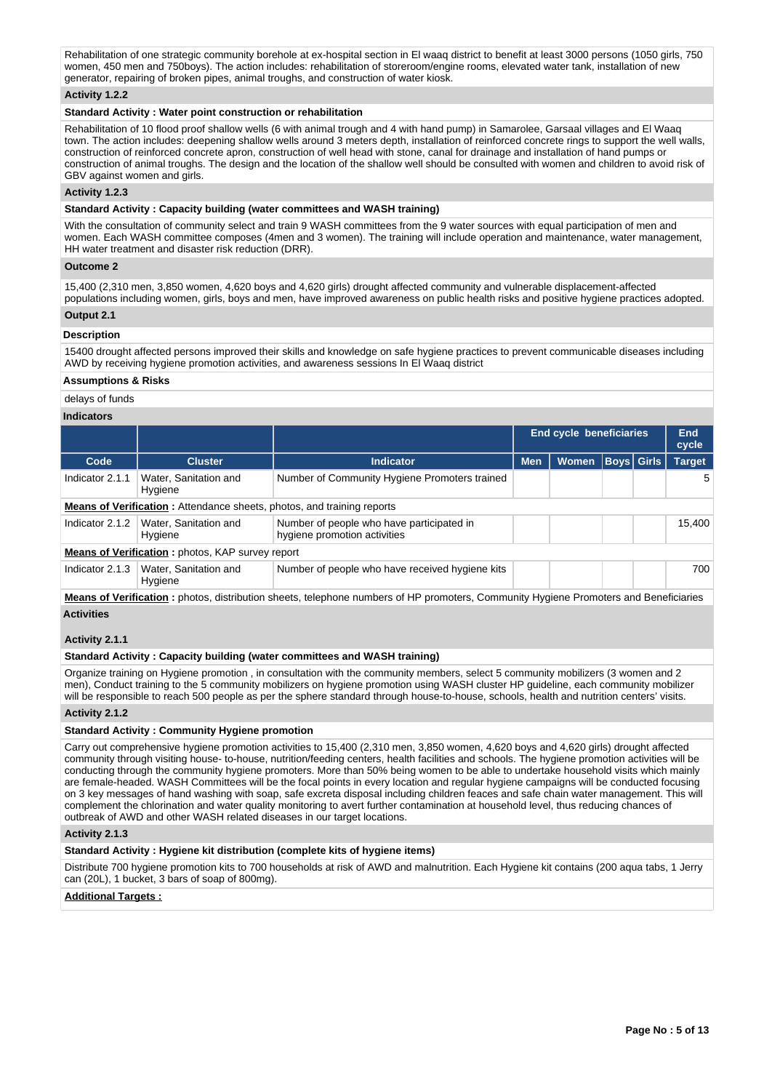Rehabilitation of one strategic community borehole at ex-hospital section in El waag district to benefit at least 3000 persons (1050 girls, 750 women, 450 men and 750boys). The action includes: rehabilitation of storeroom/engine rooms, elevated water tank, installation of new generator, repairing of broken pipes, animal troughs, and construction of water kiosk.

## **Activity 1.2.2**

# **Standard Activity : Water point construction or rehabilitation**

Rehabilitation of 10 flood proof shallow wells (6 with animal trough and 4 with hand pump) in Samarolee, Garsaal villages and El Waag town. The action includes: deepening shallow wells around 3 meters depth, installation of reinforced concrete rings to support the well walls, construction of reinforced concrete apron, construction of well head with stone, canal for drainage and installation of hand pumps or construction of animal troughs. The design and the location of the shallow well should be consulted with women and children to avoid risk of GBV against women and girls.

# **Activity 1.2.3**

## **Standard Activity : Capacity building (water committees and WASH training)**

With the consultation of community select and train 9 WASH committees from the 9 water sources with equal participation of men and women. Each WASH committee composes (4men and 3 women). The training will include operation and maintenance, water management, HH water treatment and disaster risk reduction (DRR).

#### **Outcome 2**

15,400 (2,310 men, 3,850 women, 4,620 boys and 4,620 girls) drought affected community and vulnerable displacement-affected populations including women, girls, boys and men, have improved awareness on public health risks and positive hygiene practices adopted.

#### **Output 2.1**

## **Description**

15400 drought affected persons improved their skills and knowledge on safe hygiene practices to prevent communicable diseases including AWD by receiving hygiene promotion activities, and awareness sessions In El Waaq district

#### **Assumptions & Risks**

# delays of funds

#### **Indicators**

|                                                                               |                                  |                                                                           |            | <b>End cycle beneficiaries</b> |                   |  | End<br>cycle  |  |  |  |
|-------------------------------------------------------------------------------|----------------------------------|---------------------------------------------------------------------------|------------|--------------------------------|-------------------|--|---------------|--|--|--|
| Code                                                                          | <b>Cluster</b>                   | <b>Indicator</b>                                                          | <b>Men</b> | <b>Women</b>                   | <b>Boys</b> Girls |  | <b>Target</b> |  |  |  |
| Indicator 2.1.1                                                               | Water, Sanitation and<br>Hygiene | Number of Community Hygiene Promoters trained                             |            |                                |                   |  | 5             |  |  |  |
| <b>Means of Verification:</b> Attendance sheets, photos, and training reports |                                  |                                                                           |            |                                |                   |  |               |  |  |  |
| Indicator 2.1.2                                                               | Water, Sanitation and<br>Hygiene | Number of people who have participated in<br>hygiene promotion activities |            |                                |                   |  | 15.400        |  |  |  |
| <b>Means of Verification:</b> photos, KAP survey report                       |                                  |                                                                           |            |                                |                   |  |               |  |  |  |
| Indicator 2.1.3                                                               | Water, Sanitation and<br>Hygiene | Number of people who have received hygiene kits                           |            |                                |                   |  | 700           |  |  |  |

**Means of Verification :** photos, distribution sheets, telephone numbers of HP promoters, Community Hygiene Promoters and Beneficiaries **Activities**

## **Activity 2.1.1**

## **Standard Activity : Capacity building (water committees and WASH training)**

Organize training on Hygiene promotion , in consultation with the community members, select 5 community mobilizers (3 women and 2 men), Conduct training to the 5 community mobilizers on hygiene promotion using WASH cluster HP guideline, each community mobilizer will be responsible to reach 500 people as per the sphere standard through house-to-house, schools, health and nutrition centers' visits.

## **Activity 2.1.2**

## **Standard Activity : Community Hygiene promotion**

Carry out comprehensive hygiene promotion activities to 15,400 (2,310 men, 3,850 women, 4,620 boys and 4,620 girls) drought affected community through visiting house- to-house, nutrition/feeding centers, health facilities and schools. The hygiene promotion activities will be conducting through the community hygiene promoters. More than 50% being women to be able to undertake household visits which mainly are female-headed. WASH Committees will be the focal points in every location and regular hygiene campaigns will be conducted focusing on 3 key messages of hand washing with soap, safe excreta disposal including children feaces and safe chain water management. This will complement the chlorination and water quality monitoring to avert further contamination at household level, thus reducing chances of outbreak of AWD and other WASH related diseases in our target locations.

## **Activity 2.1.3**

## **Standard Activity : Hygiene kit distribution (complete kits of hygiene items)**

Distribute 700 hygiene promotion kits to 700 households at risk of AWD and malnutrition. Each Hygiene kit contains (200 aqua tabs, 1 Jerry can (20L), 1 bucket, 3 bars of soap of 800mg).

## **Additional Targets :**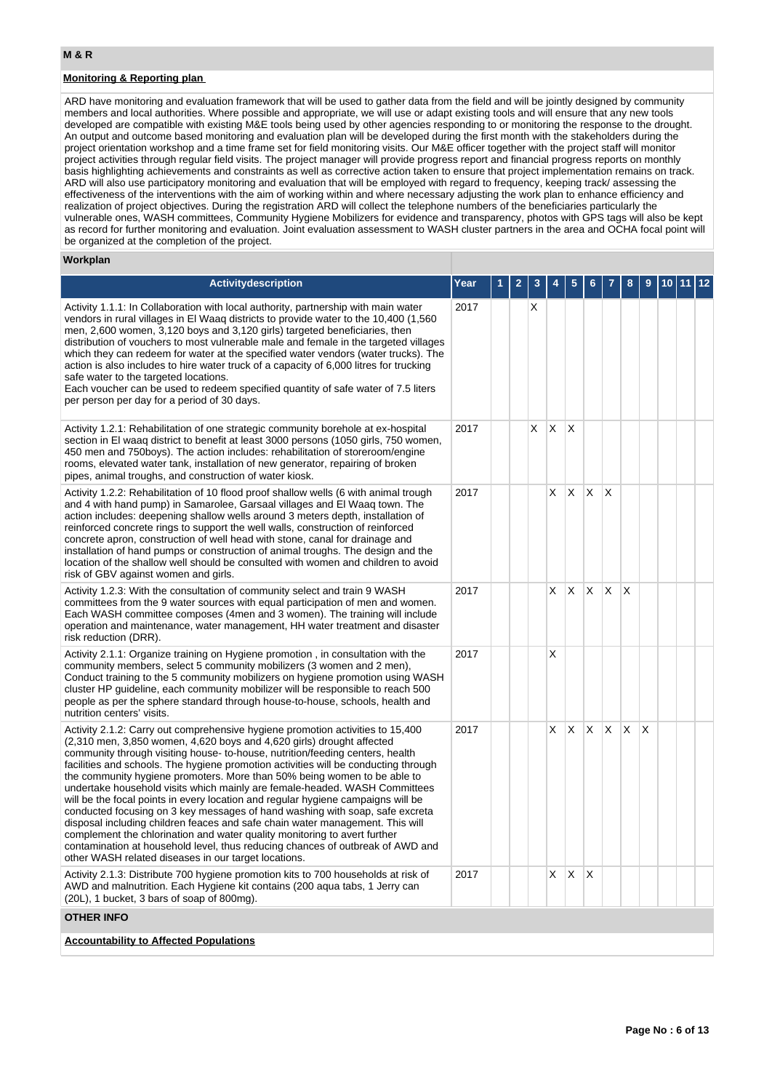# **Monitoring & Reporting plan**

ARD have monitoring and evaluation framework that will be used to gather data from the field and will be jointly designed by community members and local authorities. Where possible and appropriate, we will use or adapt existing tools and will ensure that any new tools developed are compatible with existing M&E tools being used by other agencies responding to or monitoring the response to the drought. An output and outcome based monitoring and evaluation plan will be developed during the first month with the stakeholders during the project orientation workshop and a time frame set for field monitoring visits. Our M&E officer together with the project staff will monitor project activities through regular field visits. The project manager will provide progress report and financial progress reports on monthly basis highlighting achievements and constraints as well as corrective action taken to ensure that project implementation remains on track. ARD will also use participatory monitoring and evaluation that will be employed with regard to frequency, keeping track/ assessing the effectiveness of the interventions with the aim of working within and where necessary adjusting the work plan to enhance efficiency and realization of project objectives. During the registration ARD will collect the telephone numbers of the beneficiaries particularly the vulnerable ones, WASH committees, Community Hygiene Mobilizers for evidence and transparency, photos with GPS tags will also be kept as record for further monitoring and evaluation. Joint evaluation assessment to WASH cluster partners in the area and OCHA focal point will be organized at the completion of the project.

#### **Workplan**

| <b>Activitydescription</b>                                                                                                                                                                                                                                                                                                                                                                                                                                                                                                                                                                                                                                                                                                                                                                                                                                                                                                                                            | Year |  |    |    |     |              |              |   |   |  |  |
|-----------------------------------------------------------------------------------------------------------------------------------------------------------------------------------------------------------------------------------------------------------------------------------------------------------------------------------------------------------------------------------------------------------------------------------------------------------------------------------------------------------------------------------------------------------------------------------------------------------------------------------------------------------------------------------------------------------------------------------------------------------------------------------------------------------------------------------------------------------------------------------------------------------------------------------------------------------------------|------|--|----|----|-----|--------------|--------------|---|---|--|--|
| Activity 1.1.1: In Collaboration with local authority, partnership with main water<br>vendors in rural villages in El Waaq districts to provide water to the 10,400 (1,560)<br>men, 2,600 women, 3,120 boys and 3,120 girls) targeted beneficiaries, then<br>distribution of vouchers to most vulnerable male and female in the targeted villages<br>which they can redeem for water at the specified water vendors (water trucks). The<br>action is also includes to hire water truck of a capacity of 6,000 litres for trucking<br>safe water to the targeted locations.<br>Each voucher can be used to redeem specified quantity of safe water of 7.5 liters<br>per person per day for a period of 30 days.                                                                                                                                                                                                                                                        | 2017 |  |    |    |     |              |              |   |   |  |  |
| Activity 1.2.1: Rehabilitation of one strategic community borehole at ex-hospital<br>section in El waaq district to benefit at least 3000 persons (1050 girls, 750 women,<br>450 men and 750boys). The action includes: rehabilitation of storeroom/engine<br>rooms, elevated water tank, installation of new generator, repairing of broken<br>pipes, animal troughs, and construction of water kiosk.                                                                                                                                                                                                                                                                                                                                                                                                                                                                                                                                                               | 2017 |  | X. | X  | X   |              |              |   |   |  |  |
| Activity 1.2.2: Rehabilitation of 10 flood proof shallow wells (6 with animal trough<br>and 4 with hand pump) in Samarolee, Garsaal villages and El Waaq town. The<br>action includes: deepening shallow wells around 3 meters depth, installation of<br>reinforced concrete rings to support the well walls, construction of reinforced<br>concrete apron, construction of well head with stone, canal for drainage and<br>installation of hand pumps or construction of animal troughs. The design and the<br>location of the shallow well should be consulted with women and children to avoid<br>risk of GBV against women and girls.                                                                                                                                                                                                                                                                                                                             | 2017 |  |    | X  | X   | X            | X            |   |   |  |  |
| Activity 1.2.3: With the consultation of community select and train 9 WASH<br>committees from the 9 water sources with equal participation of men and women.<br>Each WASH committee composes (4men and 3 women). The training will include<br>operation and maintenance, water management, HH water treatment and disaster<br>risk reduction (DRR).                                                                                                                                                                                                                                                                                                                                                                                                                                                                                                                                                                                                                   | 2017 |  |    | X  | X   | X.           | $\mathsf{X}$ | X |   |  |  |
| Activity 2.1.1: Organize training on Hygiene promotion, in consultation with the<br>community members, select 5 community mobilizers (3 women and 2 men),<br>Conduct training to the 5 community mobilizers on hygiene promotion using WASH<br>cluster HP guideline, each community mobilizer will be responsible to reach 500<br>people as per the sphere standard through house-to-house, schools, health and<br>nutrition centers' visits.                                                                                                                                                                                                                                                                                                                                                                                                                                                                                                                         | 2017 |  |    | X  |     |              |              |   |   |  |  |
| Activity 2.1.2: Carry out comprehensive hygiene promotion activities to 15,400<br>(2,310 men, 3,850 women, 4,620 boys and 4,620 girls) drought affected<br>community through visiting house- to-house, nutrition/feeding centers, health<br>facilities and schools. The hygiene promotion activities will be conducting through<br>the community hygiene promoters. More than 50% being women to be able to<br>undertake household visits which mainly are female-headed. WASH Committees<br>will be the focal points in every location and regular hygiene campaigns will be<br>conducted focusing on 3 key messages of hand washing with soap, safe excreta<br>disposal including children feaces and safe chain water management. This will<br>complement the chlorination and water quality monitoring to avert further<br>contamination at household level, thus reducing chances of outbreak of AWD and<br>other WASH related diseases in our target locations. | 2017 |  |    | X  | Χ   | X.           | X.           | X | X |  |  |
| Activity 2.1.3: Distribute 700 hygiene promotion kits to 700 households at risk of<br>AWD and malnutrition. Each Hygiene kit contains (200 agua tabs, 1 Jerry can<br>(20L), 1 bucket, 3 bars of soap of 800mg).                                                                                                                                                                                                                                                                                                                                                                                                                                                                                                                                                                                                                                                                                                                                                       | 2017 |  |    | X. | ΙX. | $\mathsf{X}$ |              |   |   |  |  |
| <b>OTHER INFO</b>                                                                                                                                                                                                                                                                                                                                                                                                                                                                                                                                                                                                                                                                                                                                                                                                                                                                                                                                                     |      |  |    |    |     |              |              |   |   |  |  |
| <b>Accountability to Affected Populations</b>                                                                                                                                                                                                                                                                                                                                                                                                                                                                                                                                                                                                                                                                                                                                                                                                                                                                                                                         |      |  |    |    |     |              |              |   |   |  |  |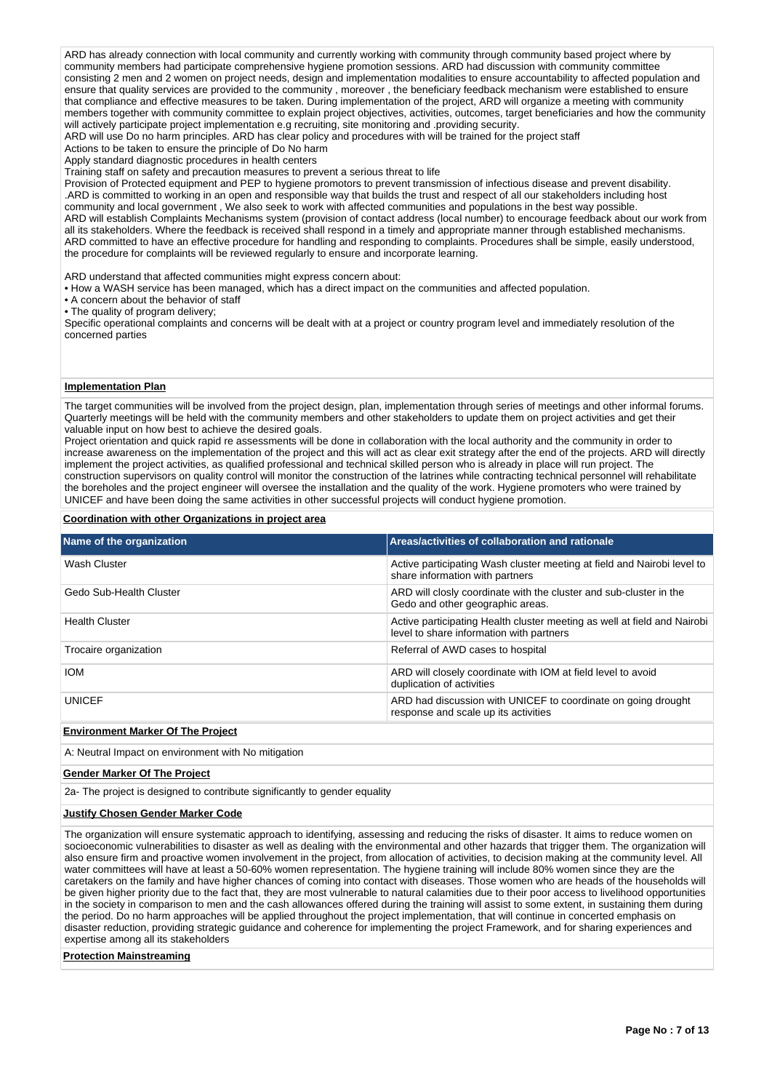ARD has already connection with local community and currently working with community through community based project where by community members had participate comprehensive hygiene promotion sessions. ARD had discussion with community committee consisting 2 men and 2 women on project needs, design and implementation modalities to ensure accountability to affected population and ensure that quality services are provided to the community , moreover , the beneficiary feedback mechanism were established to ensure that compliance and effective measures to be taken. During implementation of the project, ARD will organize a meeting with community members together with community committee to explain project objectives, activities, outcomes, target beneficiaries and how the community will actively participate project implementation e.g recruiting, site monitoring and .providing security.

ARD will use Do no harm principles. ARD has clear policy and procedures with will be trained for the project staff

Actions to be taken to ensure the principle of Do No harm

Apply standard diagnostic procedures in health centers

Training staff on safety and precaution measures to prevent a serious threat to life

Provision of Protected equipment and PEP to hygiene promotors to prevent transmission of infectious disease and prevent disability. .ARD is committed to working in an open and responsible way that builds the trust and respect of all our stakeholders including host community and local government , We also seek to work with affected communities and populations in the best way possible. ARD will establish Complaints Mechanisms system (provision of contact address (local number) to encourage feedback about our work from all its stakeholders. Where the feedback is received shall respond in a timely and appropriate manner through established mechanisms. ARD committed to have an effective procedure for handling and responding to complaints. Procedures shall be simple, easily understood, the procedure for complaints will be reviewed regularly to ensure and incorporate learning.

ARD understand that affected communities might express concern about:

• How a WASH service has been managed, which has a direct impact on the communities and affected population.

• A concern about the behavior of staff

• The quality of program delivery;

Specific operational complaints and concerns will be dealt with at a project or country program level and immediately resolution of the concerned parties

# **Implementation Plan**

The target communities will be involved from the project design, plan, implementation through series of meetings and other informal forums. Quarterly meetings will be held with the community members and other stakeholders to update them on project activities and get their valuable input on how best to achieve the desired goals.

Project orientation and quick rapid re assessments will be done in collaboration with the local authority and the community in order to increase awareness on the implementation of the project and this will act as clear exit strategy after the end of the projects. ARD will directly implement the project activities, as qualified professional and technical skilled person who is already in place will run project. The construction supervisors on quality control will monitor the construction of the latrines while contracting technical personnel will rehabilitate the boreholes and the project engineer will oversee the installation and the quality of the work. Hygiene promoters who were trained by UNICEF and have been doing the same activities in other successful projects will conduct hygiene promotion.

#### **Coordination with other Organizations in project area**

| Name of the organization | Areas/activities of collaboration and rationale                                                                      |
|--------------------------|----------------------------------------------------------------------------------------------------------------------|
| Wash Cluster             | Active participating Wash cluster meeting at field and Nairobi level to<br>share information with partners           |
| Gedo Sub-Health Cluster  | ARD will closly coordinate with the cluster and sub-cluster in the<br>Gedo and other geographic areas.               |
| <b>Health Cluster</b>    | Active participating Health cluster meeting as well at field and Nairobi<br>level to share information with partners |
| Trocaire organization    | Referral of AWD cases to hospital                                                                                    |
| <b>IOM</b>               | ARD will closely coordinate with IOM at field level to avoid<br>duplication of activities                            |
| <b>UNICEF</b>            | ARD had discussion with UNICEF to coordinate on going drought<br>response and scale up its activities                |

## **Environment Marker Of The Project**

A: Neutral Impact on environment with No mitigation

**Gender Marker Of The Project**

2a- The project is designed to contribute significantly to gender equality

#### **Justify Chosen Gender Marker Code**

The organization will ensure systematic approach to identifying, assessing and reducing the risks of disaster. It aims to reduce women on socioeconomic vulnerabilities to disaster as well as dealing with the environmental and other hazards that trigger them. The organization will also ensure firm and proactive women involvement in the project, from allocation of activities, to decision making at the community level. All water committees will have at least a 50-60% women representation. The hygiene training will include 80% women since they are the caretakers on the family and have higher chances of coming into contact with diseases. Those women who are heads of the households will be given higher priority due to the fact that, they are most vulnerable to natural calamities due to their poor access to livelihood opportunities in the society in comparison to men and the cash allowances offered during the training will assist to some extent, in sustaining them during the period. Do no harm approaches will be applied throughout the project implementation, that will continue in concerted emphasis on disaster reduction, providing strategic guidance and coherence for implementing the project Framework, and for sharing experiences and expertise among all its stakeholders

**Protection Mainstreaming**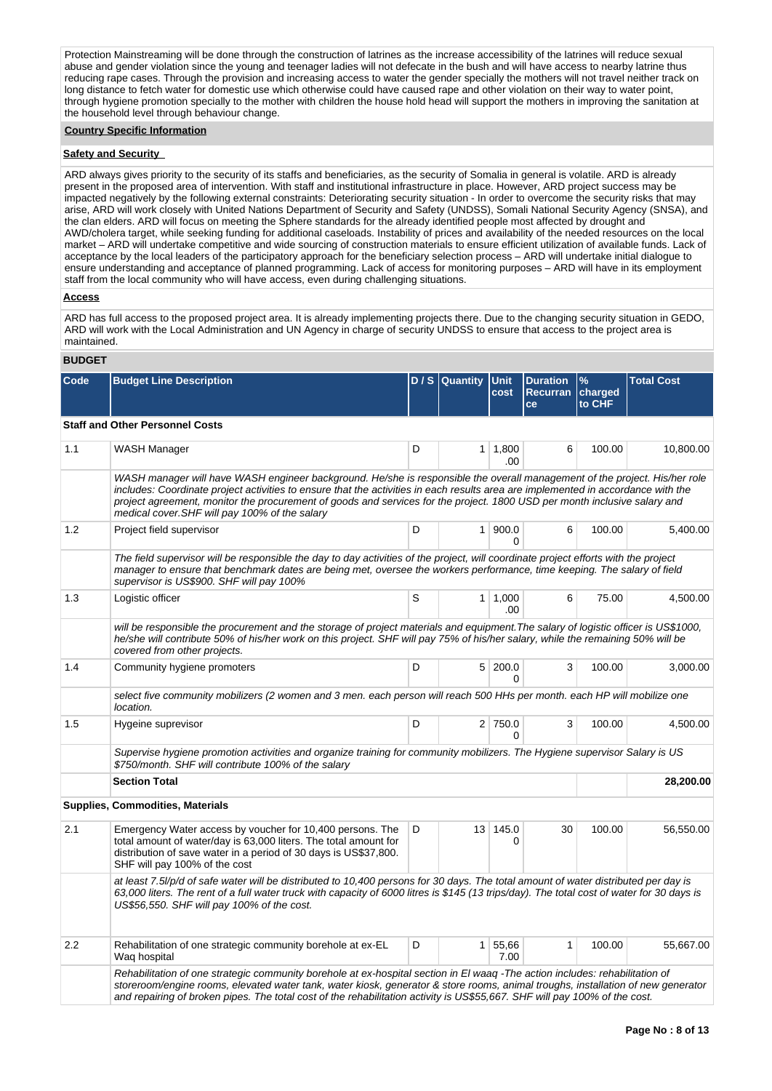Protection Mainstreaming will be done through the construction of latrines as the increase accessibility of the latrines will reduce sexual abuse and gender violation since the young and teenager ladies will not defecate in the bush and will have access to nearby latrine thus reducing rape cases. Through the provision and increasing access to water the gender specially the mothers will not travel neither track on long distance to fetch water for domestic use which otherwise could have caused rape and other violation on their way to water point, through hygiene promotion specially to the mother with children the house hold head will support the mothers in improving the sanitation at the household level through behaviour change.

## **Country Specific Information**

# **Safety and Security**

ARD always gives priority to the security of its staffs and beneficiaries, as the security of Somalia in general is volatile. ARD is already present in the proposed area of intervention. With staff and institutional infrastructure in place. However, ARD project success may be impacted negatively by the following external constraints: Deteriorating security situation - In order to overcome the security risks that may arise, ARD will work closely with United Nations Department of Security and Safety (UNDSS), Somali National Security Agency (SNSA), and the clan elders. ARD will focus on meeting the Sphere standards for the already identified people most affected by drought and AWD/cholera target, while seeking funding for additional caseloads. Instability of prices and availability of the needed resources on the local market – ARD will undertake competitive and wide sourcing of construction materials to ensure efficient utilization of available funds. Lack of acceptance by the local leaders of the participatory approach for the beneficiary selection process – ARD will undertake initial dialogue to ensure understanding and acceptance of planned programming. Lack of access for monitoring purposes – ARD will have in its employment staff from the local community who will have access, even during challenging situations.

## **Access**

ARD has full access to the proposed project area. It is already implementing projects there. Due to the changing security situation in GEDO, ARD will work with the Local Administration and UN Agency in charge of security UNDSS to ensure that access to the project area is maintained.

# **BUDGET**

| Code    | <b>Budget Line Description</b>                                                                                                                                                                                                                                                                                                                                                                                                                 |   | $D / S$ Quantity | <b>Unit</b><br>cost    | <b>Duration</b><br>Recurran charged<br>ce | %<br>to CHF | <b>Total Cost</b> |
|---------|------------------------------------------------------------------------------------------------------------------------------------------------------------------------------------------------------------------------------------------------------------------------------------------------------------------------------------------------------------------------------------------------------------------------------------------------|---|------------------|------------------------|-------------------------------------------|-------------|-------------------|
|         | <b>Staff and Other Personnel Costs</b>                                                                                                                                                                                                                                                                                                                                                                                                         |   |                  |                        |                                           |             |                   |
| 1.1     | WASH Manager                                                                                                                                                                                                                                                                                                                                                                                                                                   | D | 1 <sup>1</sup>   | 1,800<br>.00           | 6                                         | 100.00      | 10,800.00         |
|         | WASH manager will have WASH engineer background. He/she is responsible the overall management of the project. His/her role<br>includes: Coordinate project activities to ensure that the activities in each results area are implemented in accordance with the<br>project agreement, monitor the procurement of goods and services for the project. 1800 USD per month inclusive salary and<br>medical cover. SHF will pay 100% of the salary |   |                  |                        |                                           |             |                   |
| 1.2     | Project field supervisor                                                                                                                                                                                                                                                                                                                                                                                                                       | D |                  | 1   900.0<br>$\Omega$  | 6                                         | 100.00      | 5,400.00          |
|         | The field supervisor will be responsible the day to day activities of the project, will coordinate project efforts with the project<br>manager to ensure that benchmark dates are being met, oversee the workers performance, time keeping. The salary of field<br>supervisor is US\$900. SHF will pay 100%                                                                                                                                    |   |                  |                        |                                           |             |                   |
| 1.3     | Logistic officer                                                                                                                                                                                                                                                                                                                                                                                                                               | S |                  | $1 \mid 1,000$<br>.00  | 6                                         | 75.00       | 4,500.00          |
|         | will be responsible the procurement and the storage of project materials and equipment. The salary of logistic officer is US\$1000,<br>he/she will contribute 50% of his/her work on this project. SHF will pay 75% of his/her salary, while the remaining 50% will be<br>covered from other projects.                                                                                                                                         |   |                  |                        |                                           |             |                   |
| 1.4     | Community hygiene promoters                                                                                                                                                                                                                                                                                                                                                                                                                    | D |                  | 5 200.0<br>0           | 3                                         | 100.00      | 3,000.00          |
|         | select five community mobilizers (2 women and 3 men. each person will reach 500 HHs per month. each HP will mobilize one<br>location.                                                                                                                                                                                                                                                                                                          |   |                  |                        |                                           |             |                   |
| 1.5     | Hygeine suprevisor                                                                                                                                                                                                                                                                                                                                                                                                                             | D |                  | 2 750.0                | 3                                         | 100.00      | 4,500.00          |
|         | Supervise hygiene promotion activities and organize training for community mobilizers. The Hygiene supervisor Salary is US<br>\$750/month. SHF will contribute 100% of the salary                                                                                                                                                                                                                                                              |   |                  |                        |                                           |             |                   |
|         | <b>Section Total</b>                                                                                                                                                                                                                                                                                                                                                                                                                           |   |                  |                        |                                           |             | 28,200.00         |
|         | <b>Supplies, Commodities, Materials</b>                                                                                                                                                                                                                                                                                                                                                                                                        |   |                  |                        |                                           |             |                   |
| 2.1     | Emergency Water access by voucher for 10,400 persons. The<br>total amount of water/day is 63,000 liters. The total amount for<br>distribution of save water in a period of 30 days is US\$37,800.<br>SHF will pay 100% of the cost                                                                                                                                                                                                             | D |                  | 13 145.0<br>0          | 30                                        | 100.00      | 56,550.00         |
|         | at least 7.5//p/d of safe water will be distributed to 10,400 persons for 30 days. The total amount of water distributed per day is<br>63,000 liters. The rent of a full water truck with capacity of 6000 litres is \$145 (13 trips/day). The total cost of water for 30 days is<br>US\$56,550. SHF will pay 100% of the cost.                                                                                                                |   |                  |                        |                                           |             |                   |
| $2.2\,$ | Rehabilitation of one strategic community borehole at ex-EL<br>Waq hospital                                                                                                                                                                                                                                                                                                                                                                    | D |                  | $1 \mid 55,66$<br>7.00 | $\mathbf{1}$                              | 100.00      | 55,667.00         |
|         | Rehabilitation of one strategic community borehole at ex-hospital section in El waaq -The action includes: rehabilitation of<br>storeroom/engine rooms, elevated water tank, water kiosk, generator & store rooms, animal troughs, installation of new generator<br>and repairing of broken pipes. The total cost of the rehabilitation activity is US\$55,667. SHF will pay 100% of the cost.                                                 |   |                  |                        |                                           |             |                   |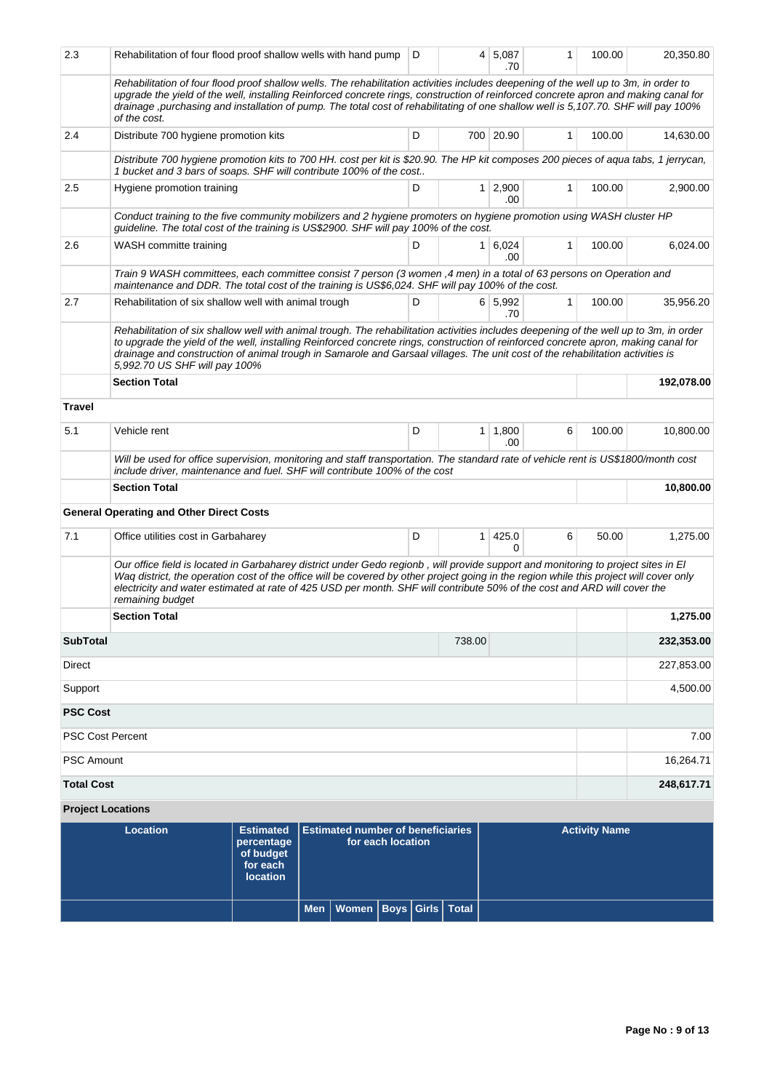| 2.3                      | Rehabilitation of four flood proof shallow wells with hand pump                                                                                                                                                                                                                                                                                                                                                                                  |                                                                            |                                                               | D |                | 4 5,087<br>.70        | 1            | 100.00               | 20,350.80  |  |
|--------------------------|--------------------------------------------------------------------------------------------------------------------------------------------------------------------------------------------------------------------------------------------------------------------------------------------------------------------------------------------------------------------------------------------------------------------------------------------------|----------------------------------------------------------------------------|---------------------------------------------------------------|---|----------------|-----------------------|--------------|----------------------|------------|--|
|                          | Rehabilitation of four flood proof shallow wells. The rehabilitation activities includes deepening of the well up to 3m, in order to<br>upgrade the yield of the well, installing Reinforced concrete rings, construction of reinforced concrete apron and making canal for<br>drainage, purchasing and installation of pump. The total cost of rehabilitating of one shallow well is 5,107.70. SHF will pay 100%<br>of the cost.                |                                                                            |                                                               |   |                |                       |              |                      |            |  |
| 2.4                      | Distribute 700 hygiene promotion kits                                                                                                                                                                                                                                                                                                                                                                                                            |                                                                            |                                                               | D |                | 700 20.90             | 1            | 100.00               | 14,630.00  |  |
|                          | Distribute 700 hygiene promotion kits to 700 HH. cost per kit is \$20.90. The HP kit composes 200 pieces of aqua tabs, 1 jerrycan,<br>1 bucket and 3 bars of soaps. SHF will contribute 100% of the cost                                                                                                                                                                                                                                         |                                                                            |                                                               |   |                |                       |              |                      |            |  |
| 2.5                      | Hygiene promotion training                                                                                                                                                                                                                                                                                                                                                                                                                       |                                                                            |                                                               | D |                | $1 \mid 2,900$<br>.00 | 1            | 100.00               | 2,900.00   |  |
|                          | Conduct training to the five community mobilizers and 2 hygiene promoters on hygiene promotion using WASH cluster HP<br>guideline. The total cost of the training is US\$2900. SHF will pay 100% of the cost.                                                                                                                                                                                                                                    |                                                                            |                                                               |   |                |                       |              |                      |            |  |
| 2.6                      | WASH committe training                                                                                                                                                                                                                                                                                                                                                                                                                           |                                                                            |                                                               | D |                | $1 \ 6,024$<br>.00    | 1            | 100.00               | 6,024.00   |  |
|                          | Train 9 WASH committees, each committee consist 7 person (3 women, 4 men) in a total of 63 persons on Operation and<br>maintenance and DDR. The total cost of the training is US\$6,024. SHF will pay 100% of the cost.                                                                                                                                                                                                                          |                                                                            |                                                               |   |                |                       |              |                      |            |  |
| 2.7                      | Rehabilitation of six shallow well with animal trough                                                                                                                                                                                                                                                                                                                                                                                            |                                                                            |                                                               | D |                | 6 5,992<br>.70        | $\mathbf{1}$ | 100.00               | 35,956.20  |  |
|                          | Rehabilitation of six shallow well with animal trough. The rehabilitation activities includes deepening of the well up to 3m, in order<br>to upgrade the yield of the well, installing Reinforced concrete rings, construction of reinforced concrete apron, making canal for<br>drainage and construction of animal trough in Samarole and Garsaal villages. The unit cost of the rehabilitation activities is<br>5,992.70 US SHF will pay 100% |                                                                            |                                                               |   |                |                       |              |                      |            |  |
|                          | <b>Section Total</b>                                                                                                                                                                                                                                                                                                                                                                                                                             |                                                                            |                                                               |   |                |                       |              |                      | 192,078.00 |  |
| Travel                   |                                                                                                                                                                                                                                                                                                                                                                                                                                                  |                                                                            |                                                               |   |                |                       |              |                      |            |  |
| 5.1                      | Vehicle rent<br>D<br>$1 \mid 1,800$<br>.00                                                                                                                                                                                                                                                                                                                                                                                                       |                                                                            |                                                               |   |                |                       | 6            | 100.00               | 10,800.00  |  |
|                          | Will be used for office supervision, monitoring and staff transportation. The standard rate of vehicle rent is US\$1800/month cost<br>include driver, maintenance and fuel. SHF will contribute 100% of the cost                                                                                                                                                                                                                                 |                                                                            |                                                               |   |                |                       |              |                      |            |  |
|                          | <b>Section Total</b>                                                                                                                                                                                                                                                                                                                                                                                                                             |                                                                            | 10,800.00                                                     |   |                |                       |              |                      |            |  |
|                          | <b>General Operating and Other Direct Costs</b>                                                                                                                                                                                                                                                                                                                                                                                                  |                                                                            |                                                               |   |                |                       |              |                      |            |  |
| 7.1                      | Office utilities cost in Garbaharey                                                                                                                                                                                                                                                                                                                                                                                                              |                                                                            |                                                               | D | 1 <sup>1</sup> | 425.0<br>0            | 6            | 50.00                | 1,275.00   |  |
|                          | Our office field is located in Garbaharey district under Gedo regionb, will provide support and monitoring to project sites in El<br>Waq district, the operation cost of the office will be covered by other project going in the region while this project will cover only<br>electricity and water estimated at rate of 425 USD per month. SHF will contribute 50% of the cost and ARD will cover the<br>remaining budget                      |                                                                            |                                                               |   |                |                       |              |                      |            |  |
|                          | <b>Section Total</b>                                                                                                                                                                                                                                                                                                                                                                                                                             |                                                                            |                                                               |   |                |                       |              |                      | 1,275.00   |  |
| <b>SubTotal</b>          |                                                                                                                                                                                                                                                                                                                                                                                                                                                  |                                                                            |                                                               |   | 738.00         |                       |              |                      | 232,353.00 |  |
| Direct                   |                                                                                                                                                                                                                                                                                                                                                                                                                                                  |                                                                            |                                                               |   |                |                       |              |                      | 227,853.00 |  |
| Support                  |                                                                                                                                                                                                                                                                                                                                                                                                                                                  |                                                                            |                                                               |   |                |                       |              |                      | 4,500.00   |  |
| <b>PSC Cost</b>          |                                                                                                                                                                                                                                                                                                                                                                                                                                                  |                                                                            |                                                               |   |                |                       |              |                      |            |  |
| <b>PSC Cost Percent</b>  |                                                                                                                                                                                                                                                                                                                                                                                                                                                  |                                                                            |                                                               |   |                |                       |              |                      | 7.00       |  |
| <b>PSC Amount</b>        |                                                                                                                                                                                                                                                                                                                                                                                                                                                  |                                                                            |                                                               |   |                |                       |              |                      | 16,264.71  |  |
| <b>Total Cost</b>        |                                                                                                                                                                                                                                                                                                                                                                                                                                                  |                                                                            |                                                               |   |                |                       |              |                      | 248,617.71 |  |
| <b>Project Locations</b> |                                                                                                                                                                                                                                                                                                                                                                                                                                                  |                                                                            |                                                               |   |                |                       |              |                      |            |  |
|                          | <b>Location</b>                                                                                                                                                                                                                                                                                                                                                                                                                                  | <b>Estimated</b><br>percentage<br>of budget<br>for each<br><b>location</b> | <b>Estimated number of beneficiaries</b><br>for each location |   |                |                       |              | <b>Activity Name</b> |            |  |

**Men Women Boys Girls Total**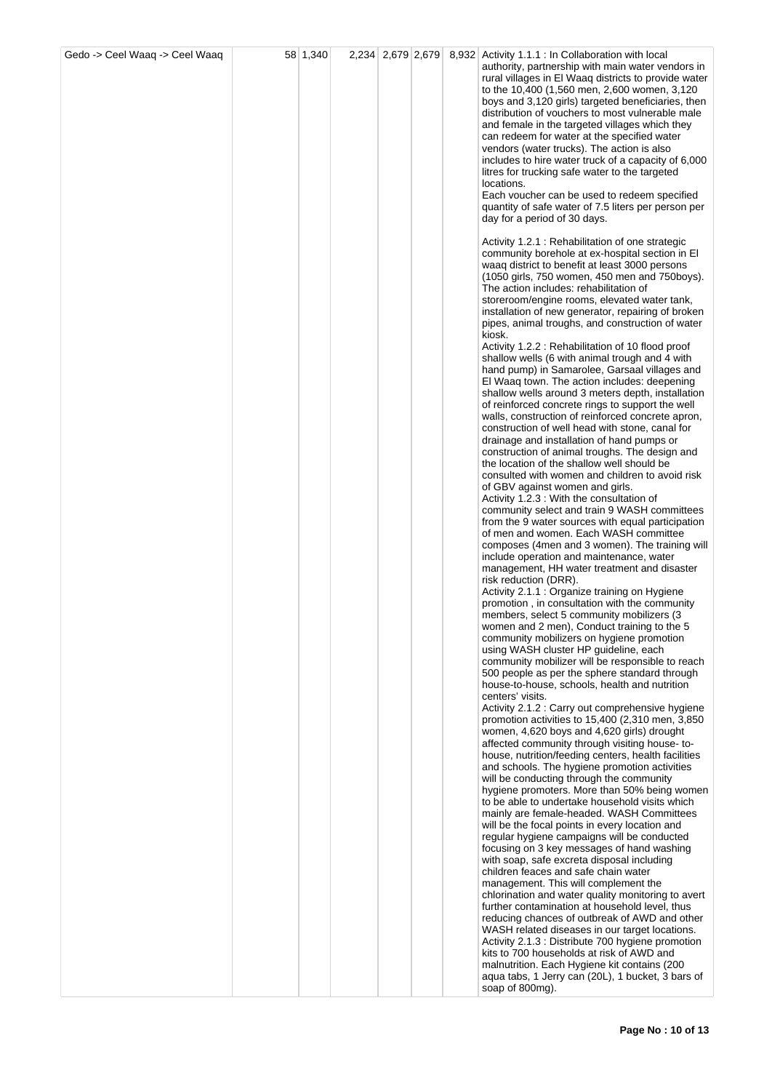| Gedo -> Ceel Waaq -> Ceel Waaq | 58 1,340 |  |  | 2,234 2,679 2,679 8,932 Activity 1.1.1 : In Collaboration with local                                    |
|--------------------------------|----------|--|--|---------------------------------------------------------------------------------------------------------|
|                                |          |  |  | authority, partnership with main water vendors in                                                       |
|                                |          |  |  | rural villages in El Waaq districts to provide water                                                    |
|                                |          |  |  | to the 10,400 (1,560 men, 2,600 women, 3,120<br>boys and 3,120 girls) targeted beneficiaries, then      |
|                                |          |  |  | distribution of vouchers to most vulnerable male                                                        |
|                                |          |  |  | and female in the targeted villages which they                                                          |
|                                |          |  |  | can redeem for water at the specified water                                                             |
|                                |          |  |  | vendors (water trucks). The action is also                                                              |
|                                |          |  |  | includes to hire water truck of a capacity of 6,000<br>litres for trucking safe water to the targeted   |
|                                |          |  |  | locations.                                                                                              |
|                                |          |  |  | Each voucher can be used to redeem specified                                                            |
|                                |          |  |  | quantity of safe water of 7.5 liters per person per                                                     |
|                                |          |  |  | day for a period of 30 days.                                                                            |
|                                |          |  |  | Activity 1.2.1 : Rehabilitation of one strategic                                                        |
|                                |          |  |  | community borehole at ex-hospital section in EI                                                         |
|                                |          |  |  | waaq district to benefit at least 3000 persons                                                          |
|                                |          |  |  | (1050 girls, 750 women, 450 men and 750boys).<br>The action includes: rehabilitation of                 |
|                                |          |  |  | storeroom/engine rooms, elevated water tank,                                                            |
|                                |          |  |  | installation of new generator, repairing of broken                                                      |
|                                |          |  |  | pipes, animal troughs, and construction of water                                                        |
|                                |          |  |  | kiosk.                                                                                                  |
|                                |          |  |  | Activity 1.2.2 : Rehabilitation of 10 flood proof<br>shallow wells (6 with animal trough and 4 with     |
|                                |          |  |  | hand pump) in Samarolee, Garsaal villages and                                                           |
|                                |          |  |  | El Waaq town. The action includes: deepening                                                            |
|                                |          |  |  | shallow wells around 3 meters depth, installation                                                       |
|                                |          |  |  | of reinforced concrete rings to support the well<br>walls, construction of reinforced concrete apron,   |
|                                |          |  |  | construction of well head with stone, canal for                                                         |
|                                |          |  |  | drainage and installation of hand pumps or                                                              |
|                                |          |  |  | construction of animal troughs. The design and                                                          |
|                                |          |  |  | the location of the shallow well should be<br>consulted with women and children to avoid risk           |
|                                |          |  |  | of GBV against women and girls.                                                                         |
|                                |          |  |  | Activity 1.2.3 : With the consultation of                                                               |
|                                |          |  |  | community select and train 9 WASH committees                                                            |
|                                |          |  |  | from the 9 water sources with equal participation                                                       |
|                                |          |  |  | of men and women. Each WASH committee<br>composes (4men and 3 women). The training will                 |
|                                |          |  |  | include operation and maintenance, water                                                                |
|                                |          |  |  | management, HH water treatment and disaster                                                             |
|                                |          |  |  | risk reduction (DRR).                                                                                   |
|                                |          |  |  | Activity 2.1.1 : Organize training on Hygiene<br>promotion, in consultation with the community          |
|                                |          |  |  | members, select 5 community mobilizers (3)                                                              |
|                                |          |  |  | women and 2 men), Conduct training to the 5                                                             |
|                                |          |  |  | community mobilizers on hygiene promotion                                                               |
|                                |          |  |  | using WASH cluster HP guideline, each<br>community mobilizer will be responsible to reach               |
|                                |          |  |  | 500 people as per the sphere standard through                                                           |
|                                |          |  |  | house-to-house, schools, health and nutrition                                                           |
|                                |          |  |  | centers' visits.                                                                                        |
|                                |          |  |  | Activity 2.1.2 : Carry out comprehensive hygiene<br>promotion activities to $15,400$ (2,310 men, 3,850) |
|                                |          |  |  | women, 4,620 boys and 4,620 girls) drought                                                              |
|                                |          |  |  | affected community through visiting house-to-                                                           |
|                                |          |  |  | house, nutrition/feeding centers, health facilities                                                     |
|                                |          |  |  | and schools. The hygiene promotion activities<br>will be conducting through the community               |
|                                |          |  |  | hygiene promoters. More than 50% being women                                                            |
|                                |          |  |  | to be able to undertake household visits which                                                          |
|                                |          |  |  | mainly are female-headed. WASH Committees                                                               |
|                                |          |  |  | will be the focal points in every location and<br>regular hygiene campaigns will be conducted           |
|                                |          |  |  | focusing on 3 key messages of hand washing                                                              |
|                                |          |  |  | with soap, safe excreta disposal including                                                              |
|                                |          |  |  | children feaces and safe chain water                                                                    |
|                                |          |  |  | management. This will complement the<br>chlorination and water quality monitoring to avert              |
|                                |          |  |  | further contamination at household level, thus                                                          |
|                                |          |  |  | reducing chances of outbreak of AWD and other                                                           |
|                                |          |  |  | WASH related diseases in our target locations.                                                          |
|                                |          |  |  | Activity 2.1.3 : Distribute 700 hygiene promotion<br>kits to 700 households at risk of AWD and          |
|                                |          |  |  | malnutrition. Each Hygiene kit contains (200                                                            |
|                                |          |  |  | aqua tabs, 1 Jerry can (20L), 1 bucket, 3 bars of                                                       |
|                                |          |  |  | soap of 800mg).                                                                                         |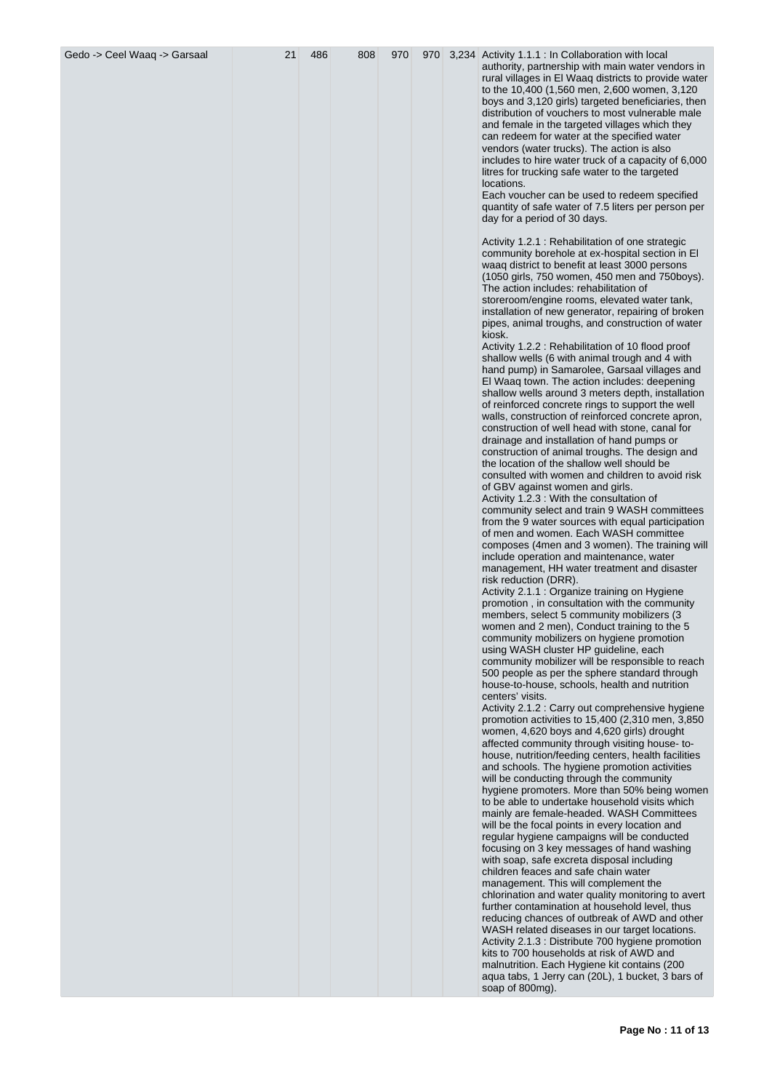| Gedo -> Ceel Waaq -> Garsaal | 21 | 486 | 808 | 970 | 970 | 3,234 Activity 1.1.1 : In Collaboration with local<br>authority, partnership with main water vendors in<br>rural villages in El Waaq districts to provide water                                                                                                                                                                                                                                                                                                                                                                                                                                                                                                                                                                                                                                                                                                                                                                                                                                                                                                                                                                                                                                                                                                                                                                                                                                                                                                                                                                                                                                                                                                                                                                                                                            |
|------------------------------|----|-----|-----|-----|-----|--------------------------------------------------------------------------------------------------------------------------------------------------------------------------------------------------------------------------------------------------------------------------------------------------------------------------------------------------------------------------------------------------------------------------------------------------------------------------------------------------------------------------------------------------------------------------------------------------------------------------------------------------------------------------------------------------------------------------------------------------------------------------------------------------------------------------------------------------------------------------------------------------------------------------------------------------------------------------------------------------------------------------------------------------------------------------------------------------------------------------------------------------------------------------------------------------------------------------------------------------------------------------------------------------------------------------------------------------------------------------------------------------------------------------------------------------------------------------------------------------------------------------------------------------------------------------------------------------------------------------------------------------------------------------------------------------------------------------------------------------------------------------------------------|
|                              |    |     |     |     |     | to the 10,400 (1,560 men, 2,600 women, 3,120<br>boys and 3,120 girls) targeted beneficiaries, then<br>distribution of vouchers to most vulnerable male<br>and female in the targeted villages which they<br>can redeem for water at the specified water<br>vendors (water trucks). The action is also<br>includes to hire water truck of a capacity of 6,000<br>litres for trucking safe water to the targeted<br>locations.<br>Each voucher can be used to redeem specified                                                                                                                                                                                                                                                                                                                                                                                                                                                                                                                                                                                                                                                                                                                                                                                                                                                                                                                                                                                                                                                                                                                                                                                                                                                                                                               |
|                              |    |     |     |     |     | quantity of safe water of 7.5 liters per person per<br>day for a period of 30 days.                                                                                                                                                                                                                                                                                                                                                                                                                                                                                                                                                                                                                                                                                                                                                                                                                                                                                                                                                                                                                                                                                                                                                                                                                                                                                                                                                                                                                                                                                                                                                                                                                                                                                                        |
|                              |    |     |     |     |     | Activity 1.2.1 : Rehabilitation of one strategic<br>community borehole at ex-hospital section in El<br>waaq district to benefit at least 3000 persons<br>(1050 girls, 750 women, 450 men and 750boys).<br>The action includes: rehabilitation of<br>storeroom/engine rooms, elevated water tank,<br>installation of new generator, repairing of broken<br>pipes, animal troughs, and construction of water<br>kiosk.<br>Activity 1.2.2 : Rehabilitation of 10 flood proof<br>shallow wells (6 with animal trough and 4 with<br>hand pump) in Samarolee, Garsaal villages and<br>El Waaq town. The action includes: deepening<br>shallow wells around 3 meters depth, installation<br>of reinforced concrete rings to support the well<br>walls, construction of reinforced concrete apron,<br>construction of well head with stone, canal for<br>drainage and installation of hand pumps or<br>construction of animal troughs. The design and<br>the location of the shallow well should be<br>consulted with women and children to avoid risk<br>of GBV against women and girls.<br>Activity 1.2.3 : With the consultation of<br>community select and train 9 WASH committees<br>from the 9 water sources with equal participation<br>of men and women. Each WASH committee<br>composes (4men and 3 women). The training will<br>include operation and maintenance, water<br>management, HH water treatment and disaster<br>risk reduction (DRR).<br>Activity 2.1.1 : Organize training on Hygiene<br>promotion, in consultation with the community<br>members, select 5 community mobilizers (3<br>women and 2 men), Conduct training to the 5<br>community mobilizers on hygiene promotion<br>using WASH cluster HP guideline, each<br>community mobilizer will be responsible to reach |
|                              |    |     |     |     |     | 500 people as per the sphere standard through<br>house-to-house, schools, health and nutrition<br>centers' visits.                                                                                                                                                                                                                                                                                                                                                                                                                                                                                                                                                                                                                                                                                                                                                                                                                                                                                                                                                                                                                                                                                                                                                                                                                                                                                                                                                                                                                                                                                                                                                                                                                                                                         |
|                              |    |     |     |     |     | Activity 2.1.2 : Carry out comprehensive hygiene<br>promotion activities to 15,400 (2,310 men, 3,850)<br>women, 4,620 boys and 4,620 girls) drought<br>affected community through visiting house-to-<br>house, nutrition/feeding centers, health facilities<br>and schools. The hygiene promotion activities<br>will be conducting through the community<br>hygiene promoters. More than 50% being women                                                                                                                                                                                                                                                                                                                                                                                                                                                                                                                                                                                                                                                                                                                                                                                                                                                                                                                                                                                                                                                                                                                                                                                                                                                                                                                                                                                   |
|                              |    |     |     |     |     | to be able to undertake household visits which<br>mainly are female-headed. WASH Committees<br>will be the focal points in every location and<br>regular hygiene campaigns will be conducted<br>focusing on 3 key messages of hand washing<br>with soap, safe excreta disposal including<br>children feaces and safe chain water<br>management. This will complement the                                                                                                                                                                                                                                                                                                                                                                                                                                                                                                                                                                                                                                                                                                                                                                                                                                                                                                                                                                                                                                                                                                                                                                                                                                                                                                                                                                                                                   |
|                              |    |     |     |     |     | chlorination and water quality monitoring to avert<br>further contamination at household level, thus<br>reducing chances of outbreak of AWD and other<br>WASH related diseases in our target locations.<br>Activity 2.1.3 : Distribute 700 hygiene promotion<br>kits to 700 households at risk of AWD and<br>malnutrition. Each Hygiene kit contains (200<br>aqua tabs, 1 Jerry can (20L), 1 bucket, 3 bars of<br>soap of 800mg).                                                                                                                                                                                                                                                                                                                                                                                                                                                                                                                                                                                                                                                                                                                                                                                                                                                                                                                                                                                                                                                                                                                                                                                                                                                                                                                                                          |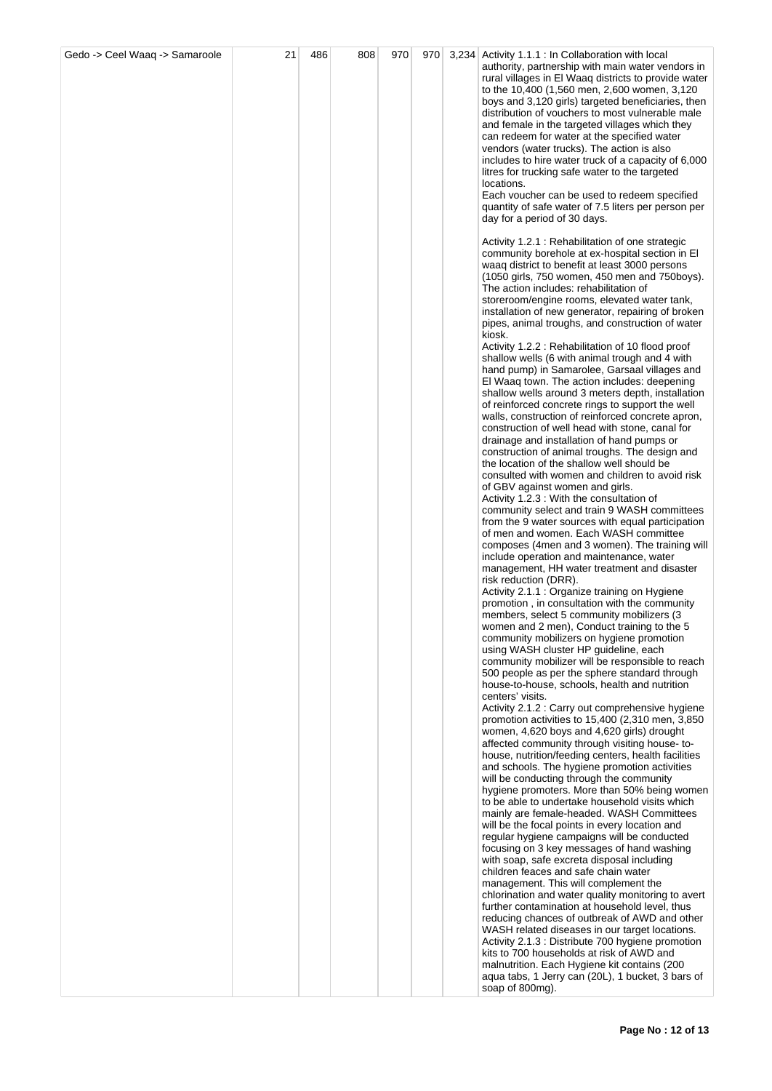| Gedo -> Ceel Waaq -> Samaroole | 21 | 486 | 808 | 970 |  | 970 3,234 Activity 1.1.1 : In Collaboration with local                                                 |
|--------------------------------|----|-----|-----|-----|--|--------------------------------------------------------------------------------------------------------|
|                                |    |     |     |     |  | authority, partnership with main water vendors in                                                      |
|                                |    |     |     |     |  | rural villages in El Waaq districts to provide water                                                   |
|                                |    |     |     |     |  | to the 10,400 (1,560 men, 2,600 women, 3,120<br>boys and 3,120 girls) targeted beneficiaries, then     |
|                                |    |     |     |     |  | distribution of vouchers to most vulnerable male                                                       |
|                                |    |     |     |     |  | and female in the targeted villages which they                                                         |
|                                |    |     |     |     |  | can redeem for water at the specified water                                                            |
|                                |    |     |     |     |  | vendors (water trucks). The action is also                                                             |
|                                |    |     |     |     |  | includes to hire water truck of a capacity of 6,000                                                    |
|                                |    |     |     |     |  | litres for trucking safe water to the targeted<br>locations.                                           |
|                                |    |     |     |     |  | Each voucher can be used to redeem specified                                                           |
|                                |    |     |     |     |  | quantity of safe water of 7.5 liters per person per                                                    |
|                                |    |     |     |     |  | day for a period of 30 days.                                                                           |
|                                |    |     |     |     |  |                                                                                                        |
|                                |    |     |     |     |  | Activity 1.2.1 : Rehabilitation of one strategic<br>community borehole at ex-hospital section in El    |
|                                |    |     |     |     |  | waaq district to benefit at least 3000 persons                                                         |
|                                |    |     |     |     |  | (1050 girls, 750 women, 450 men and 750boys).                                                          |
|                                |    |     |     |     |  | The action includes: rehabilitation of                                                                 |
|                                |    |     |     |     |  | storeroom/engine rooms, elevated water tank,                                                           |
|                                |    |     |     |     |  | installation of new generator, repairing of broken<br>pipes, animal troughs, and construction of water |
|                                |    |     |     |     |  | kiosk.                                                                                                 |
|                                |    |     |     |     |  | Activity 1.2.2: Rehabilitation of 10 flood proof                                                       |
|                                |    |     |     |     |  | shallow wells (6 with animal trough and 4 with                                                         |
|                                |    |     |     |     |  | hand pump) in Samarolee, Garsaal villages and                                                          |
|                                |    |     |     |     |  | El Waaq town. The action includes: deepening<br>shallow wells around 3 meters depth, installation      |
|                                |    |     |     |     |  | of reinforced concrete rings to support the well                                                       |
|                                |    |     |     |     |  | walls, construction of reinforced concrete apron,                                                      |
|                                |    |     |     |     |  | construction of well head with stone, canal for                                                        |
|                                |    |     |     |     |  | drainage and installation of hand pumps or                                                             |
|                                |    |     |     |     |  | construction of animal troughs. The design and<br>the location of the shallow well should be           |
|                                |    |     |     |     |  | consulted with women and children to avoid risk                                                        |
|                                |    |     |     |     |  | of GBV against women and girls.                                                                        |
|                                |    |     |     |     |  | Activity 1.2.3 : With the consultation of                                                              |
|                                |    |     |     |     |  | community select and train 9 WASH committees                                                           |
|                                |    |     |     |     |  | from the 9 water sources with equal participation<br>of men and women. Each WASH committee             |
|                                |    |     |     |     |  | composes (4men and 3 women). The training will                                                         |
|                                |    |     |     |     |  | include operation and maintenance, water                                                               |
|                                |    |     |     |     |  | management, HH water treatment and disaster                                                            |
|                                |    |     |     |     |  | risk reduction (DRR).<br>Activity 2.1.1 : Organize training on Hygiene                                 |
|                                |    |     |     |     |  | promotion, in consultation with the community                                                          |
|                                |    |     |     |     |  | members, select 5 community mobilizers (3                                                              |
|                                |    |     |     |     |  | women and 2 men), Conduct training to the 5                                                            |
|                                |    |     |     |     |  | community mobilizers on hygiene promotion<br>using WASH cluster HP guideline, each                     |
|                                |    |     |     |     |  | community mobilizer will be responsible to reach                                                       |
|                                |    |     |     |     |  | 500 people as per the sphere standard through                                                          |
|                                |    |     |     |     |  | house-to-house, schools, health and nutrition                                                          |
|                                |    |     |     |     |  | centers' visits.<br>Activity 2.1.2 : Carry out comprehensive hygiene                                   |
|                                |    |     |     |     |  | promotion activities to 15,400 (2,310 men, 3,850)                                                      |
|                                |    |     |     |     |  | women, 4,620 boys and 4,620 girls) drought                                                             |
|                                |    |     |     |     |  | affected community through visiting house-to-                                                          |
|                                |    |     |     |     |  | house, nutrition/feeding centers, health facilities<br>and schools. The hygiene promotion activities   |
|                                |    |     |     |     |  | will be conducting through the community                                                               |
|                                |    |     |     |     |  | hygiene promoters. More than 50% being women                                                           |
|                                |    |     |     |     |  | to be able to undertake household visits which                                                         |
|                                |    |     |     |     |  | mainly are female-headed. WASH Committees                                                              |
|                                |    |     |     |     |  | will be the focal points in every location and<br>regular hygiene campaigns will be conducted          |
|                                |    |     |     |     |  | focusing on 3 key messages of hand washing                                                             |
|                                |    |     |     |     |  | with soap, safe excreta disposal including                                                             |
|                                |    |     |     |     |  | children feaces and safe chain water                                                                   |
|                                |    |     |     |     |  | management. This will complement the<br>chlorination and water quality monitoring to avert             |
|                                |    |     |     |     |  | further contamination at household level, thus                                                         |
|                                |    |     |     |     |  | reducing chances of outbreak of AWD and other                                                          |
|                                |    |     |     |     |  | WASH related diseases in our target locations.                                                         |
|                                |    |     |     |     |  | Activity 2.1.3 : Distribute 700 hygiene promotion                                                      |
|                                |    |     |     |     |  | kits to 700 households at risk of AWD and<br>malnutrition. Each Hygiene kit contains (200              |
|                                |    |     |     |     |  | aqua tabs, 1 Jerry can (20L), 1 bucket, 3 bars of                                                      |
|                                |    |     |     |     |  | soap of 800mg).                                                                                        |